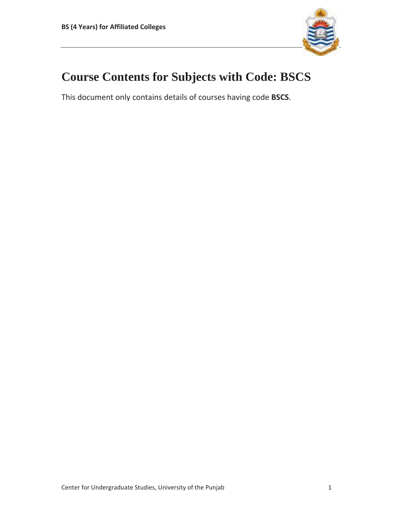

## **Course Contents for Subjects with Code: BSCS**

This document only contains details of courses having code **BSCS**.